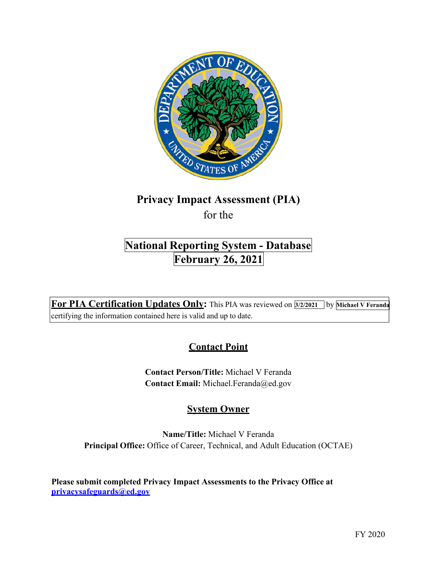

# **Privacy Impact Assessment (PIA)**

for the

## **National Reporting System - Database February 26, 2021**

 **For PIA Certification Updates Only:** This PIA was reviewed on **3/2/2021** by **Michael V Feranda**  certifying the information contained here is valid and up to date.

## **Contact Point**

 **Contact Person/Title:** Michael V Feranda  **Contact Email:** [Michael.Feranda@ed.gov](mailto:Michael.Feranda@ed.gov)

### **System Owner**

 **Name/Title:** Michael V Feranda  **Principal Office:** Office of Career, Technical, and Adult Education (OCTAE)

 **Please submit completed Privacy Impact Assessments to the Privacy Office at [privacysafeguards@ed.gov](mailto:privacysafeguards@ed.gov)**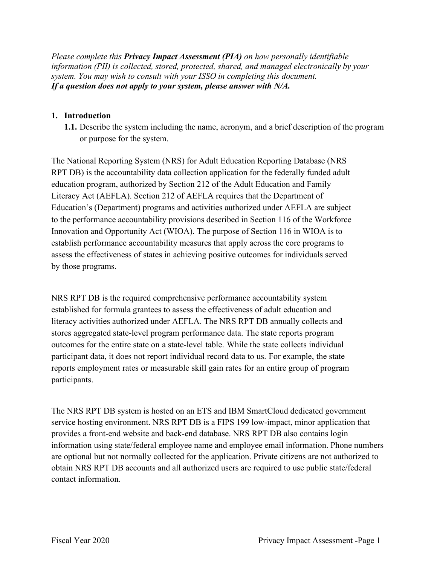*information (PII) is collected, stored, protected, shared, and managed electronically by your system. You may wish to consult with your ISSO in completing this document. If a question does not apply to your system, please answer with N/A. Please complete this Privacy Impact Assessment (PIA) on how personally identifiable* 

#### **1. Introduction**

 **1.1.** Describe the system including the name, acronym, and a brief description of the program or purpose for the system.

 to the performance accountability provisions described in Section 116 of the Workforce by those programs. The National Reporting System (NRS) for Adult Education Reporting Database (NRS RPT DB) is the accountability data collection application for the federally funded adult education program, authorized by Section 212 of the Adult Education and Family Literacy Act (AEFLA). Section 212 of AEFLA requires that the Department of Education's (Department) programs and activities authorized under AEFLA are subject Innovation and Opportunity Act (WIOA). The purpose of Section 116 in WIOA is to establish performance accountability measures that apply across the core programs to assess the effectiveness of states in achieving positive outcomes for individuals served

 stores aggregated state-level program performance data. The state reports program outcomes for the entire state on a state-level table. While the state collects individual participant data, it does not report individual record data to us. For example, the state reports employment rates or measurable skill gain rates for an entire group of program NRS RPT DB is the required comprehensive performance accountability system established for formula grantees to assess the effectiveness of adult education and literacy activities authorized under AEFLA. The NRS RPT DB annually collects and participants.

 The NRS RPT DB system is hosted on an ETS and IBM SmartCloud dedicated government service hosting environment. NRS RPT DB is a FIPS 199 low-impact, minor application that obtain NRS RPT DB accounts and all authorized users are required to use public state/federal contact information. provides a front-end website and back-end database. NRS RPT DB also contains login information using state/federal employee name and employee email information. Phone numbers are optional but not normally collected for the application. Private citizens are not authorized to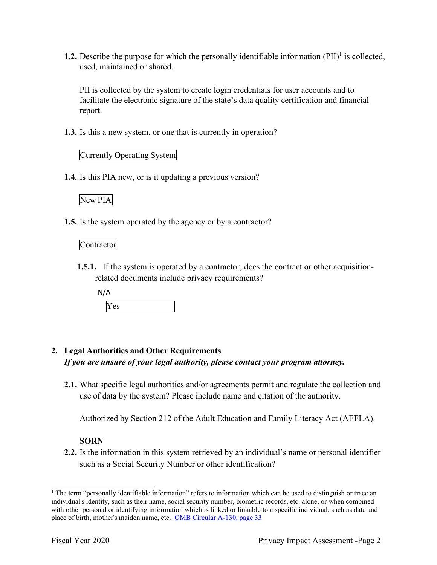**1.2.** Describe the purpose for which the personally identifiable information  $(PII)^{1}$  is collected, used, maintained or shared.

 PII is collected by the system to create login credentials for user accounts and to facilitate the electronic signature of the state's data quality certification and financial report.

**1.3.** Is this a new system, or one that is currently in operation?

#### Currently Operating System

**1.4.** Is this PIA new, or is it updating a previous version?

#### New PIA

**1.5.** Is the system operated by the agency or by a contractor?

#### Contractor

- **1.5.1.** If the system is operated by a contractor, does the contract or other acquisition- related documents include privacy requirements?
	- N/A

Yes

#### **2. Legal Authorities and Other Requirements**   *If you are unsure of your legal authority, please contact your program attorney.*

 **2.1.** What specific legal authorities and/or agreements permit and regulate the collection and use of data by the system? Please include name and citation of the authority.

Authorized by Section 212 of the Adult Education and Family Literacy Act (AEFLA).

#### **SORN**

 **2.2.** Is the information in this system retrieved by an individual's name or personal identifier such as a Social Security Number or other identification?

place of birth, mother's maiden name, etc. OMB Circular A-130, page 33 <sup>1</sup> The term "personally identifiable information" refers to information which can be used to distinguish or trace an individual's identity, such as their name, social security number, biometric records, etc. alone, or when combined with other personal or identifying information which is linked or linkable to a specific individual, such as date and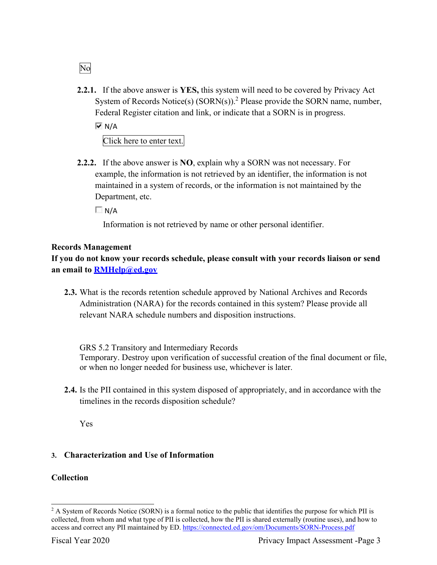System of Records Notice(s) (SORN(s)).<sup>2</sup> Please provide the SORN name, number, Federal Register citation and link, or indicate that a SORN is in progress. **2.2.1.** If the above answer is **YES,** this system will need to be covered by Privacy Act  $\overline{M}$  N/A

Click here to enter text.

 **2.2.2.** If the above answer is **NO**, explain why a SORN was not necessary. For example, the information is not retrieved by an identifier, the information is not Department, etc. maintained in a system of records, or the information is not maintained by the

 $\Box$  N/A

Information is not retrieved by name or other personal identifier.

#### **Records Management**

**If you do not know your records schedule, please consult with your records liaison or send an email to [RMHelp@ed.gov](mailto:RMHelp@ed.gov)** 

 relevant NARA schedule numbers and disposition instructions. **2.3.** What is the records retention schedule approved by National Archives and Records Administration (NARA) for the records contained in this system? Please provide all

GRS 5.2 Transitory and Intermediary Records Temporary. Destroy upon verification of successful creation of the final document or file, or when no longer needed for business use, whichever is later.

 timelines in the records disposition schedule? **2.4.** Is the PII contained in this system disposed of appropriately, and in accordance with the

Yes

#### **3. Characterization and Use of Information**

#### **Collection**

No

 collected, from whom and what type of PII is collected, how the PII is shared externally (routine uses), and how to access and correct any PII maintained by ED. https://connected.ed.gov/om/Documents/SORN-Process.pdf <sup>2</sup> A System of Records Notice (SORN) is a formal notice to the public that identifies the purpose for which PII is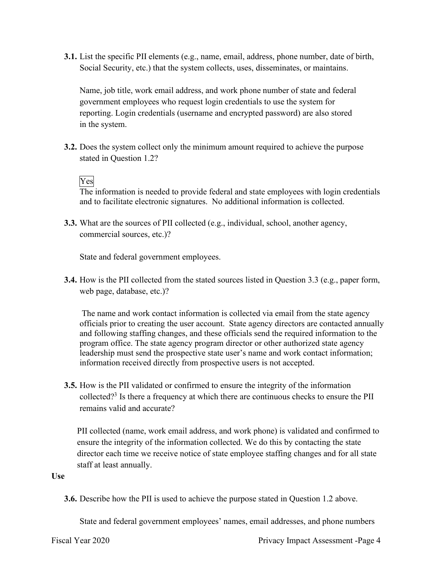**3.1.** List the specific PII elements (e.g., name, email, address, phone number, date of birth, Social Security, etc.) that the system collects, uses, disseminates, or maintains.

 Name, job title, work email address, and work phone number of state and federal government employees who request login credentials to use the system for reporting. Login credentials (username and encrypted password) are also stored in the system.

**3.2.** Does the system collect only the minimum amount required to achieve the purpose stated in Question 1.2?

#### Yes

The information is needed to provide federal and state employees with login credentials and to facilitate electronic signatures. No additional information is collected.

 **3.3.** What are the sources of PII collected (e.g., individual, school, another agency, commercial sources, etc.)?

State and federal government employees.

 **3.4.** How is the PII collected from the stated sources listed in Question 3.3 (e.g., paper form, web page, database, etc.)?

 leadership must send the prospective state user's name and work contact information; The name and work contact information is collected via email from the state agency officials prior to creating the user account. State agency directors are contacted annually and following staffing changes, and these officials send the required information to the program office. The state agency program director or other authorized state agency information received directly from prospective users is not accepted.

**3.5.** How is the PII validated or confirmed to ensure the integrity of the information collected?<sup>3</sup> Is there a frequency at which there are continuous checks to ensure the PII remains valid and accurate?

 PII collected (name, work email address, and work phone) is validated and confirmed to ensure the integrity of the information collected. We do this by contacting the state director each time we receive notice of state employee staffing changes and for all state staff at least annually.

#### **Use**

**3.6.** Describe how the PII is used to achieve the purpose stated in Question 1.2 above.

State and federal government employees' names, email addresses, and phone numbers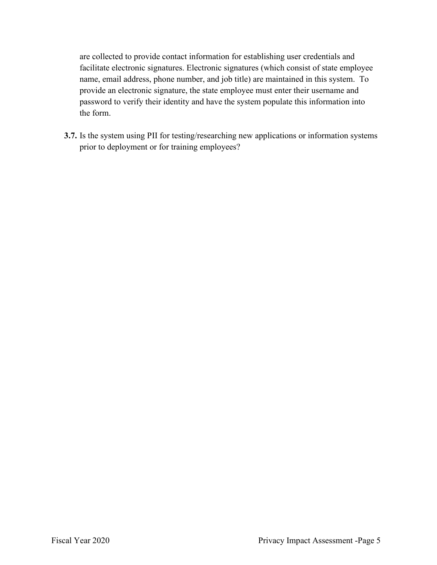are collected to provide contact information for establishing user credentials and name, email address, phone number, and job title) are maintained in this system. To provide an electronic signature, the state employee must enter their username and facilitate electronic signatures. Electronic signatures (which consist of state employee password to verify their identity and have the system populate this information into the form.

 prior to deployment or for training employees? **3.7.** Is the system using PII for testing/researching new applications or information systems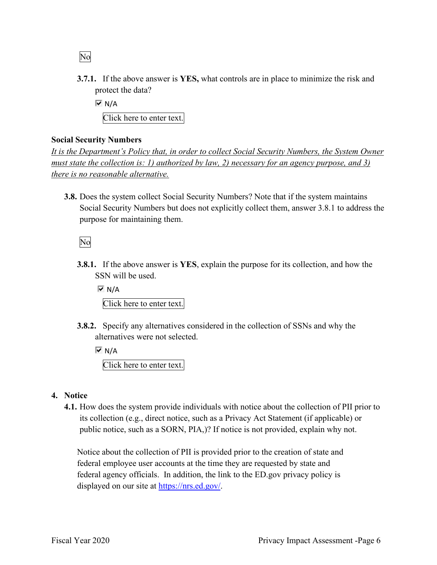No

- protect the data? **3.7.1.** If the above answer is **YES,** what controls are in place to minimize the risk and
	- $\overline{M}$  N/A

Click here to enter text.

#### **Social Security Numbers**

 *It is the Department's Policy that, in order to collect Social Security Numbers, the System Owner there is no reasonable alternative. must state the collection is: 1) authorized by law, 2) necessary for an agency purpose, and 3)* 

 Social Security Numbers but does not explicitly collect them, answer 3.8.1 to address the purpose for maintaining them. **3.8.** Does the system collect Social Security Numbers? Note that if the system maintains

No

 SSN will be used. **3.8.1.** If the above answer is **YES**, explain the purpose for its collection, and how the

 $\overline{M}$  N/A Click here to enter text.

 **3.8.2.** Specify any alternatives considered in the collection of SSNs and why the alternatives were not selected.

 $\overline{M}$  N/A

Click here to enter text.

- **4. Notice** 
	- **4.1.** How does the system provide individuals with notice about the collection of PII prior to public notice, such as a SORN, PIA,)? If notice is not provided, explain why not. its collection (e.g., direct notice, such as a Privacy Act Statement (if applicable) or

 Notice about the collection of PII is provided prior to the creation of state and federal employee user accounts at the time they are requested by state and federal agency officials. In addition, the link to the ED.gov privacy policy is displayed on our site at [https://nrs.ed.gov/](https://nrs.ed.gov).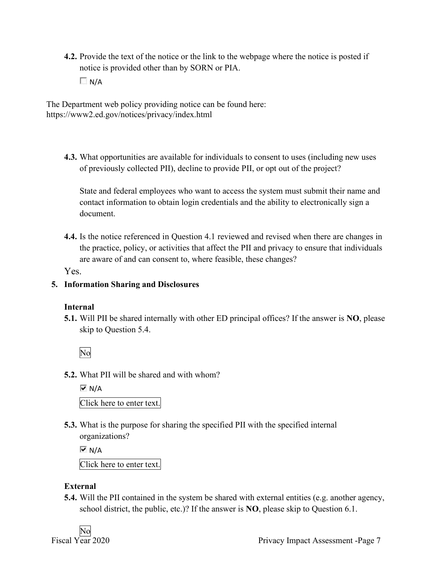notice is provided other than by SORN or PIA. **4.2.** Provide the text of the notice or the link to the webpage where the notice is posted if

 $\Box$  N/A

The Department web policy providing notice can be found here: <https://www2.ed.gov/notices/privacy/index.html>

 **4.3.** What opportunities are available for individuals to consent to uses (including new uses of previously collected PII), decline to provide PII, or opt out of the project?

State and federal employees who want to access the system must submit their name and contact information to obtain login credentials and the ability to electronically sign a document.

 are aware of and can consent to, where feasible, these changes? **4.4.** Is the notice referenced in Question 4.1 reviewed and revised when there are changes in the practice, policy, or activities that affect the PII and privacy to ensure that individuals

Yes.

#### **5. Information Sharing and Disclosures**

#### **Internal**

 **5.1.** Will PII be shared internally with other ED principal offices? If the answer is **NO**, please skip to Question 5.4.

No

**5.2.** What PII will be shared and with whom?

 $\overline{M}$  N/A Click here to enter text.

**5.3.** What is the purpose for sharing the specified PII with the specified internal organizations?

 $\overline{M}$  N/A

Click here to enter text.

#### **External**

 **5.4.** Will the PII contained in the system be shared with external entities (e.g. another agency, school district, the public, etc.)? If the answer is **NO**, please skip to Question 6.1.

No<br>Fiscal Year 2020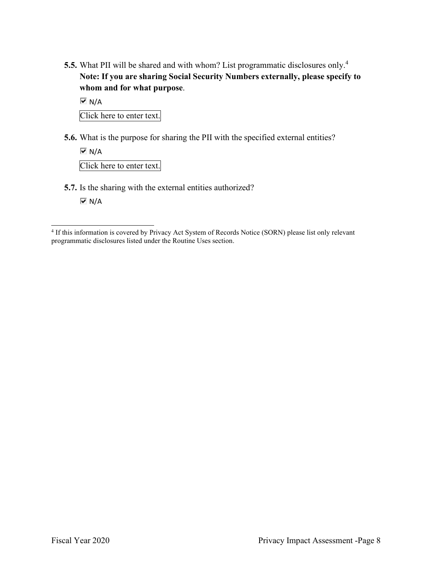**Note: If you are sharing Social Security Numbers externally, please specify to whom and for what purpose**. **5.5.** What PII will be shared and with whom? List programmatic disclosures only.4

 $\overline{M}$  N/A

Click here to enter text.

**5.6.** What is the purpose for sharing the PII with the specified external entities?

 $\overline{M}$  N/A Click here to enter text.

**5.7.** Is the sharing with the external entities authorized?

 $\overline{M}$  N/A

 programmatic disclosures listed under the Routine Uses section. <sup>4</sup> If this information is covered by Privacy Act System of Records Notice (SORN) please list only relevant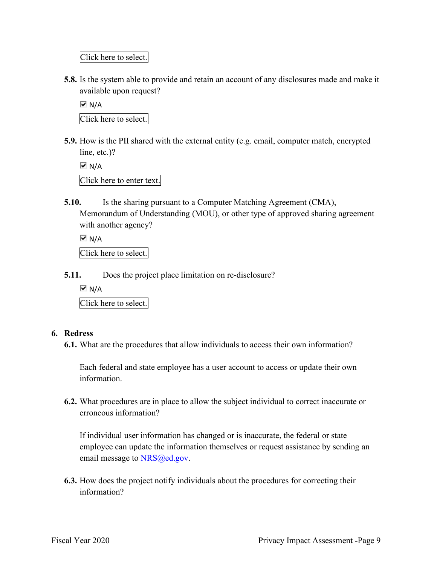Click here to select.

 **5.8.** Is the system able to provide and retain an account of any disclosures made and make it available upon request?

 $\overline{M}$  N/A Click here to select.

- **5.9.** How is the PII shared with the external entity (e.g. email, computer match, encrypted line, etc.)?
	- $\overline{M}$  N/A Click here to enter text.
- with another agency? **5.10.** Is the sharing pursuant to a Computer Matching Agreement (CMA), Memorandum of Understanding (MOU), or other type of approved sharing agreement

 $\overline{M}$  N/A

Click here to select.

- **5.11.** Does the project place limitation on re-disclosure?
	- $\overline{M}$  N/A

Click here to select.

#### **6. Redress**

**6.1.** What are the procedures that allow individuals to access their own information?

Each federal and state employee has a user account to access or update their own information.

 **6.2.** What procedures are in place to allow the subject individual to correct inaccurate or erroneous information?

 If individual user information has changed or is inaccurate, the federal or state employee can update the information themselves or request assistance by sending an email message to **NRS@ed.gov**.

**6.3.** How does the project notify individuals about the procedures for correcting their information?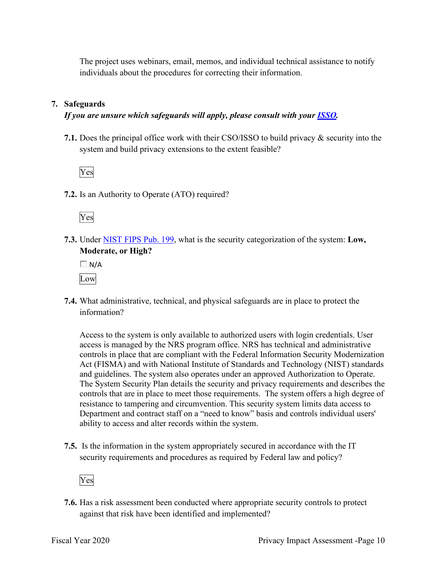The project uses webinars, email, memos, and individual technical assistance to notify individuals about the procedures for correcting their information.

#### **7. Safeguards**

#### *If you are unsure which safeguards will apply, please consult with your ISSO.*

 system and build privacy extensions to the extent feasible? **7.1.** Does the principal office work with their CSO/ISSO to build privacy & security into the

Yes

**7.2.** Is an Authority to Operate (ATO) required?



 **7.3.** Under NIST FIPS Pub. 199, what is the security categorization of the system: **Low, Moderate, or High?** 

 $\Box$  N/A Low

**7.4.** What administrative, technical, and physical safeguards are in place to protect the information?

 controls that are in place to meet those requirements. The system offers a high degree of Department and contract staff on a "need to know" basis and controls individual users' Access to the system is only available to authorized users with login credentials. User access is managed by the NRS program office. NRS has technical and administrative controls in place that are compliant with the Federal Information Security Modernization Act (FISMA) and with National Institute of Standards and Technology (NIST) standards and guidelines. The system also operates under an approved Authorization to Operate. The System Security Plan details the security and privacy requirements and describes the resistance to tampering and circumvention. This security system limits data access to ability to access and alter records within the system.

 **7.5.** Is the information in the system appropriately secured in accordance with the IT security requirements and procedures as required by Federal law and policy?



 **7.6.** Has a risk assessment been conducted where appropriate security controls to protect against that risk have been identified and implemented?